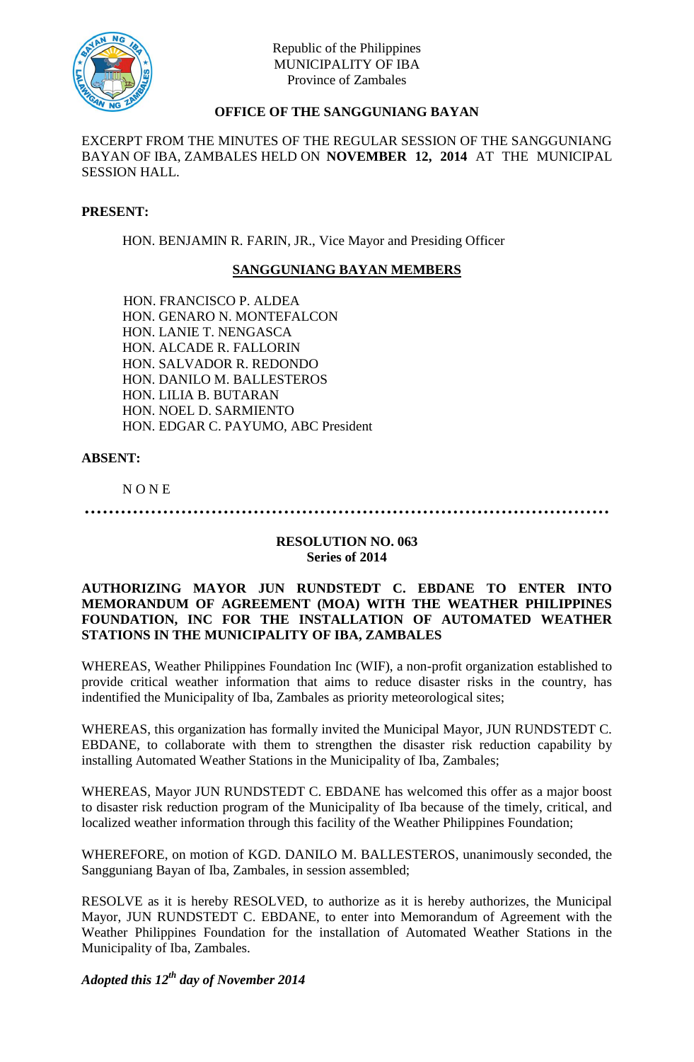

# **OFFICE OF THE SANGGUNIANG BAYAN**

EXCERPT FROM THE MINUTES OF THE REGULAR SESSION OF THE SANGGUNIANG BAYAN OF IBA, ZAMBALES HELD ON **NOVEMBER 12, 2014** AT THE MUNICIPAL SESSION HALL.

### **PRESENT:**

HON. BENJAMIN R. FARIN, JR., Vice Mayor and Presiding Officer

## **SANGGUNIANG BAYAN MEMBERS**

HON. FRANCISCO P. ALDEA HON. GENARO N. MONTEFALCON HON. LANIE T. NENGASCA HON. ALCADE R. FALLORIN HON. SALVADOR R. REDONDO HON. DANILO M. BALLESTEROS HON. LILIA B. BUTARAN HON. NOEL D. SARMIENTO HON. EDGAR C. PAYUMO, ABC President

### **ABSENT:**

N O N E

**……………………………………………………………………………**

#### **RESOLUTION NO. 063 Series of 2014**

### **AUTHORIZING MAYOR JUN RUNDSTEDT C. EBDANE TO ENTER INTO MEMORANDUM OF AGREEMENT (MOA) WITH THE WEATHER PHILIPPINES FOUNDATION, INC FOR THE INSTALLATION OF AUTOMATED WEATHER STATIONS IN THE MUNICIPALITY OF IBA, ZAMBALES**

WHEREAS, Weather Philippines Foundation Inc (WIF), a non-profit organization established to provide critical weather information that aims to reduce disaster risks in the country, has indentified the Municipality of Iba, Zambales as priority meteorological sites;

WHEREAS, this organization has formally invited the Municipal Mayor, JUN RUNDSTEDT C. EBDANE, to collaborate with them to strengthen the disaster risk reduction capability by installing Automated Weather Stations in the Municipality of Iba, Zambales;

WHEREAS, Mayor JUN RUNDSTEDT C. EBDANE has welcomed this offer as a major boost to disaster risk reduction program of the Municipality of Iba because of the timely, critical, and localized weather information through this facility of the Weather Philippines Foundation;

WHEREFORE, on motion of KGD. DANILO M. BALLESTEROS, unanimously seconded, the Sangguniang Bayan of Iba, Zambales, in session assembled;

RESOLVE as it is hereby RESOLVED, to authorize as it is hereby authorizes, the Municipal Mayor, JUN RUNDSTEDT C. EBDANE, to enter into Memorandum of Agreement with the Weather Philippines Foundation for the installation of Automated Weather Stations in the Municipality of Iba, Zambales.

*Adopted this 12th day of November 2014*